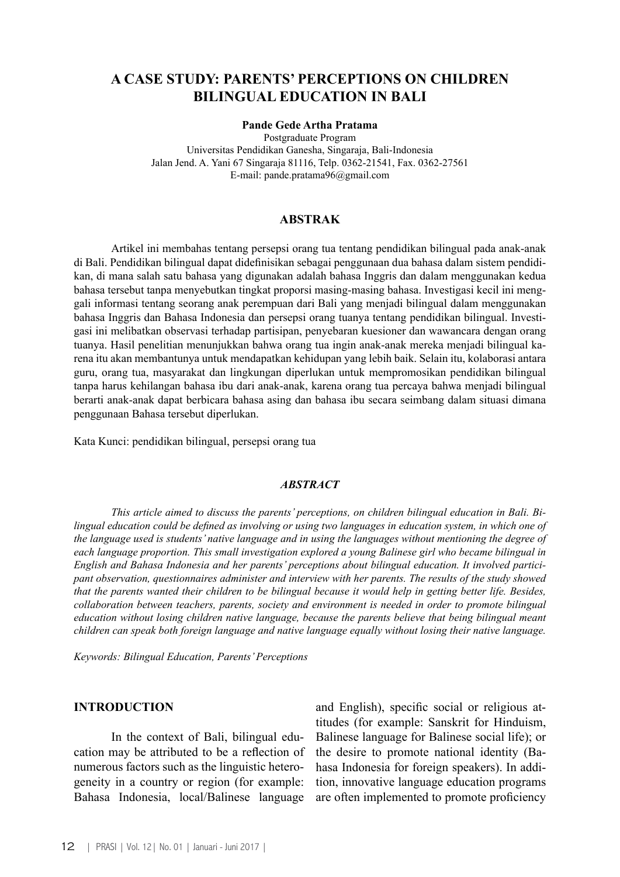# **A CASE STUDY: PARENTS' PERCEPTIONS ON CHILDREN BILINGUAL EDUCATION IN BALI**

### **Pande Gede Artha Pratama**

Postgraduate Program Universitas Pendidikan Ganesha, Singaraja, Bali-Indonesia Jalan Jend. A. Yani 67 Singaraja 81116, Telp. 0362-21541, Fax. 0362-27561 E-mail: pande.pratama96@gmail.com

### **ABSTRAK**

Artikel ini membahas tentang persepsi orang tua tentang pendidikan bilingual pada anak-anak di Bali. Pendidikan bilingual dapat didefinisikan sebagai penggunaan dua bahasa dalam sistem pendidikan, di mana salah satu bahasa yang digunakan adalah bahasa Inggris dan dalam menggunakan kedua bahasa tersebut tanpa menyebutkan tingkat proporsi masing-masing bahasa. Investigasi kecil ini menggali informasi tentang seorang anak perempuan dari Bali yang menjadi bilingual dalam menggunakan bahasa Inggris dan Bahasa Indonesia dan persepsi orang tuanya tentang pendidikan bilingual. Investigasi ini melibatkan observasi terhadap partisipan, penyebaran kuesioner dan wawancara dengan orang tuanya. Hasil penelitian menunjukkan bahwa orang tua ingin anak-anak mereka menjadi bilingual karena itu akan membantunya untuk mendapatkan kehidupan yang lebih baik. Selain itu, kolaborasi antara guru, orang tua, masyarakat dan lingkungan diperlukan untuk mempromosikan pendidikan bilingual tanpa harus kehilangan bahasa ibu dari anak-anak, karena orang tua percaya bahwa menjadi bilingual berarti anak-anak dapat berbicara bahasa asing dan bahasa ibu secara seimbang dalam situasi dimana penggunaan Bahasa tersebut diperlukan.

Kata Kunci: pendidikan bilingual, persepsi orang tua

### *ABSTRACT*

*This article aimed to discuss the parents' perceptions, on children bilingual education in Bali. Bilingual education could be defined as involving or using two languages in education system, in which one of the language used is students' native language and in using the languages without mentioning the degree of each language proportion. This small investigation explored a young Balinese girl who became bilingual in English and Bahasa Indonesia and her parents' perceptions about bilingual education. It involved participant observation, questionnaires administer and interview with her parents. The results of the study showed that the parents wanted their children to be bilingual because it would help in getting better life. Besides, collaboration between teachers, parents, society and environment is needed in order to promote bilingual education without losing children native language, because the parents believe that being bilingual meant children can speak both foreign language and native language equally without losing their native language.*

*Keywords: Bilingual Education, Parents' Perceptions*

### **INTRODUCTION**

In the context of Bali, bilingual education may be attributed to be a reflection of numerous factors such as the linguistic heterogeneity in a country or region (for example: Bahasa Indonesia, local/Balinese language

and English), specific social or religious attitudes (for example: Sanskrit for Hinduism, Balinese language for Balinese social life); or the desire to promote national identity (Bahasa Indonesia for foreign speakers). In addition, innovative language education programs are often implemented to promote proficiency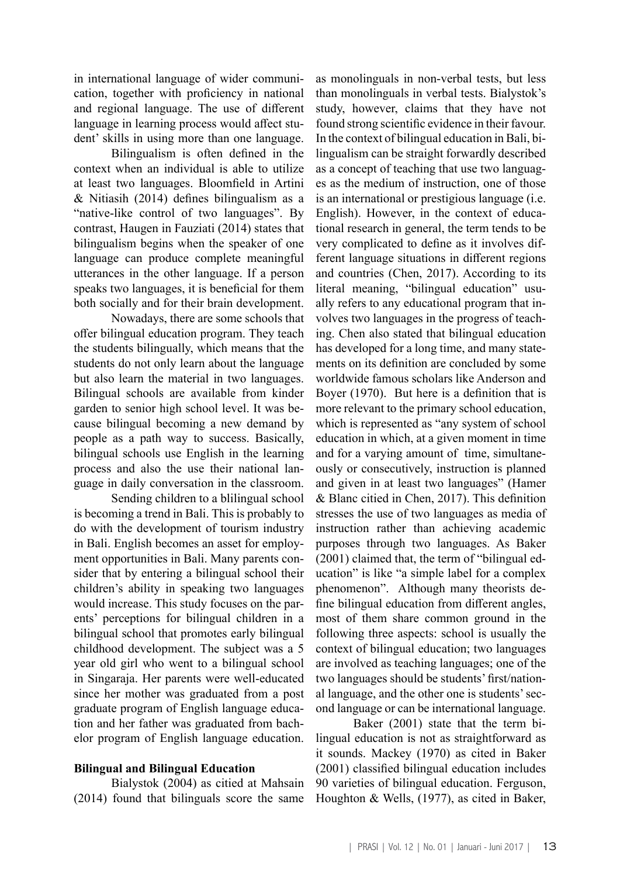in international language of wider communication, together with proficiency in national and regional language. The use of different language in learning process would affect student' skills in using more than one language.

Bilingualism is often defined in the context when an individual is able to utilize at least two languages. Bloomfield in Artini & Nitiasih (2014) defines bilingualism as a "native-like control of two languages". By contrast, Haugen in Fauziati (2014) states that bilingualism begins when the speaker of one language can produce complete meaningful utterances in the other language. If a person speaks two languages, it is beneficial for them both socially and for their brain development.

Nowadays, there are some schools that offer bilingual education program. They teach the students bilingually, which means that the students do not only learn about the language but also learn the material in two languages. Bilingual schools are available from kinder garden to senior high school level. It was because bilingual becoming a new demand by people as a path way to success. Basically, bilingual schools use English in the learning process and also the use their national language in daily conversation in the classroom.

Sending children to a blilingual school is becoming a trend in Bali. This is probably to do with the development of tourism industry in Bali. English becomes an asset for employment opportunities in Bali. Many parents consider that by entering a bilingual school their children's ability in speaking two languages would increase. This study focuses on the parents' perceptions for bilingual children in a bilingual school that promotes early bilingual childhood development. The subject was a 5 year old girl who went to a bilingual school in Singaraja. Her parents were well-educated since her mother was graduated from a post graduate program of English language education and her father was graduated from bachelor program of English language education.

## **Bilingual and Bilingual Education**

Bialystok (2004) as citied at Mahsain (2014) found that bilinguals score the same

as monolinguals in non-verbal tests, but less than monolinguals in verbal tests. Bialystok's study, however, claims that they have not found strong scientific evidence in their favour. In the context of bilingual education in Bali, bilingualism can be straight forwardly described as a concept of teaching that use two languages as the medium of instruction, one of those is an international or prestigious language (i.e. English). However, in the context of educational research in general, the term tends to be very complicated to define as it involves different language situations in different regions and countries (Chen, 2017). According to its literal meaning, "bilingual education" usually refers to any educational program that involves two languages in the progress of teaching. Chen also stated that bilingual education has developed for a long time, and many statements on its definition are concluded by some worldwide famous scholars like Anderson and Boyer (1970). But here is a definition that is more relevant to the primary school education, which is represented as "any system of school education in which, at a given moment in time and for a varying amount of time, simultaneously or consecutively, instruction is planned and given in at least two languages" (Hamer & Blanc citied in Chen, 2017). This definition stresses the use of two languages as media of instruction rather than achieving academic purposes through two languages. As Baker (2001) claimed that, the term of "bilingual education" is like "a simple label for a complex phenomenon". Although many theorists define bilingual education from different angles, most of them share common ground in the following three aspects: school is usually the context of bilingual education; two languages are involved as teaching languages; one of the two languages should be students' first/national language, and the other one is students' second language or can be international language.

Baker (2001) state that the term bilingual education is not as straightforward as it sounds. Mackey (1970) as cited in Baker (2001) classified bilingual education includes 90 varieties of bilingual education. Ferguson, Houghton & Wells, (1977), as cited in Baker,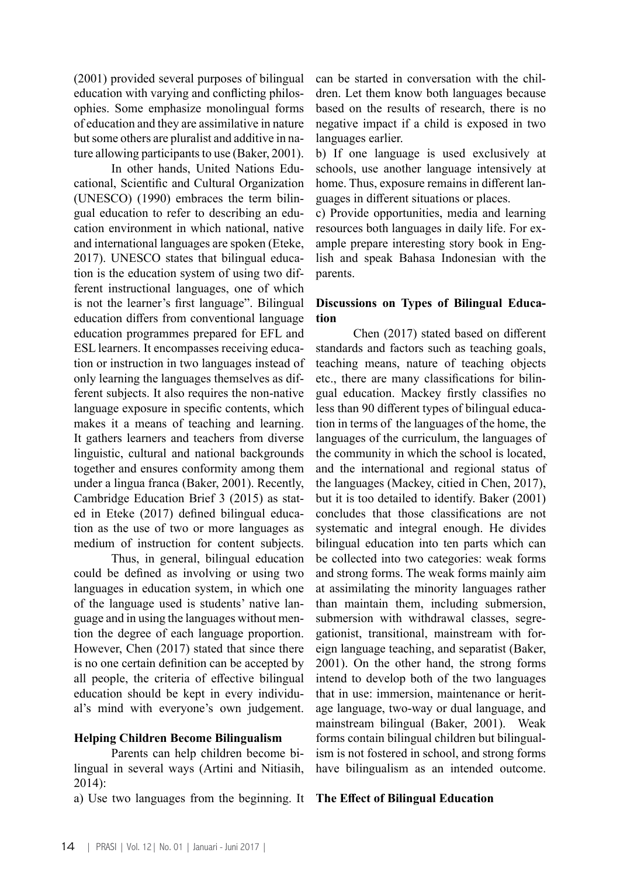(2001) provided several purposes of bilingual education with varying and conflicting philosophies. Some emphasize monolingual forms of education and they are assimilative in nature but some others are pluralist and additive in nature allowing participants to use (Baker, 2001).

In other hands, United Nations Educational, Scientific and Cultural Organization (UNESCO) (1990) embraces the term bilingual education to refer to describing an education environment in which national, native and international languages are spoken (Eteke, 2017). UNESCO states that bilingual education is the education system of using two different instructional languages, one of which is not the learner's first language". Bilingual education differs from conventional language education programmes prepared for EFL and ESL learners. It encompasses receiving education or instruction in two languages instead of only learning the languages themselves as different subjects. It also requires the non-native language exposure in specific contents, which makes it a means of teaching and learning. It gathers learners and teachers from diverse linguistic, cultural and national backgrounds together and ensures conformity among them under a lingua franca (Baker, 2001). Recently, Cambridge Education Brief 3 (2015) as stated in Eteke (2017) defined bilingual education as the use of two or more languages as medium of instruction for content subjects.

Thus, in general, bilingual education could be defined as involving or using two languages in education system, in which one of the language used is students' native language and in using the languages without mention the degree of each language proportion. However, Chen (2017) stated that since there is no one certain definition can be accepted by all people, the criteria of effective bilingual education should be kept in every individual's mind with everyone's own judgement.

### **Helping Children Become Bilingualism**

Parents can help children become bilingual in several ways (Artini and Nitiasih, 2014):

a) Use two languages from the beginning. It **The Effect of Bilingual Education**

can be started in conversation with the children. Let them know both languages because based on the results of research, there is no negative impact if a child is exposed in two languages earlier.

b) If one language is used exclusively at schools, use another language intensively at home. Thus, exposure remains in different languages in different situations or places.

c) Provide opportunities, media and learning resources both languages in daily life. For example prepare interesting story book in English and speak Bahasa Indonesian with the parents.

## **Discussions on Types of Bilingual Education**

Chen (2017) stated based on different standards and factors such as teaching goals, teaching means, nature of teaching objects etc., there are many classifications for bilingual education. Mackey firstly classifies no less than 90 different types of bilingual education in terms of the languages of the home, the languages of the curriculum, the languages of the community in which the school is located, and the international and regional status of the languages (Mackey, citied in Chen, 2017), but it is too detailed to identify. Baker (2001) concludes that those classifications are not systematic and integral enough. He divides bilingual education into ten parts which can be collected into two categories: weak forms and strong forms. The weak forms mainly aim at assimilating the minority languages rather than maintain them, including submersion, submersion with withdrawal classes, segregationist, transitional, mainstream with foreign language teaching, and separatist (Baker, 2001). On the other hand, the strong forms intend to develop both of the two languages that in use: immersion, maintenance or heritage language, two-way or dual language, and mainstream bilingual (Baker, 2001). Weak forms contain bilingual children but bilingualism is not fostered in school, and strong forms have bilingualism as an intended outcome.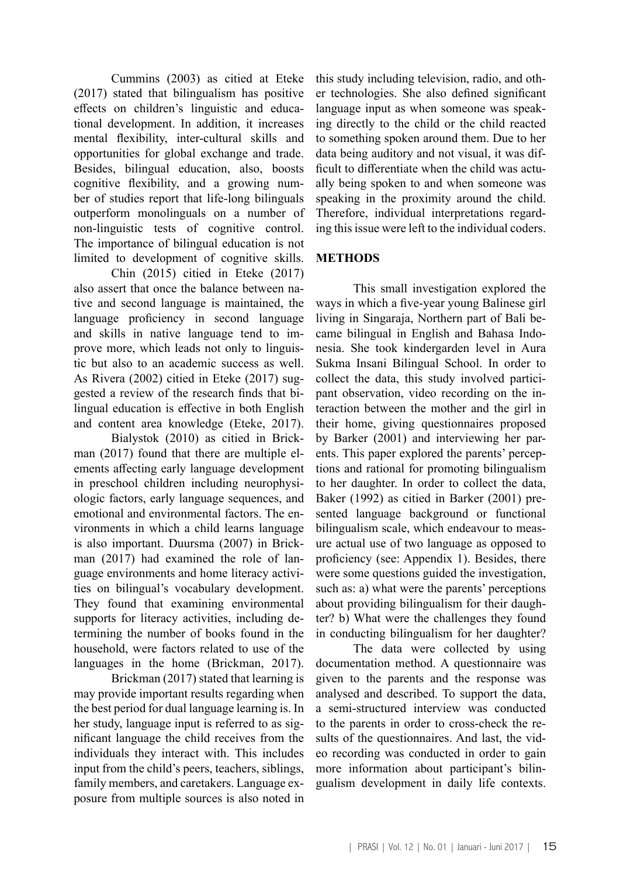Cummins (2003) as citied at Eteke (2017) stated that bilingualism has positive effects on children's linguistic and educational development. In addition, it increases mental flexibility, inter-cultural skills and opportunities for global exchange and trade. Besides, bilingual education, also, boosts cognitive flexibility, and a growing number of studies report that life-long bilinguals outperform monolinguals on a number of non-linguistic tests of cognitive control. The importance of bilingual education is not limited to development of cognitive skills.

Chin (2015) citied in Eteke (2017) also assert that once the balance between native and second language is maintained, the language proficiency in second language and skills in native language tend to improve more, which leads not only to linguistic but also to an academic success as well. As Rivera (2002) citied in Eteke (2017) suggested a review of the research finds that bilingual education is effective in both English and content area knowledge (Eteke, 2017).

Bialystok (2010) as citied in Brickman (2017) found that there are multiple elements affecting early language development in preschool children including neurophysiologic factors, early language sequences, and emotional and environmental factors. The environments in which a child learns language is also important. Duursma (2007) in Brickman (2017) had examined the role of language environments and home literacy activities on bilingual's vocabulary development. They found that examining environmental supports for literacy activities, including determining the number of books found in the household, were factors related to use of the languages in the home (Brickman, 2017).

Brickman (2017) stated that learning is may provide important results regarding when the best period for dual language learning is. In her study, language input is referred to as significant language the child receives from the individuals they interact with. This includes input from the child's peers, teachers, siblings, family members, and caretakers. Language exposure from multiple sources is also noted in this study including television, radio, and other technologies. She also defined significant language input as when someone was speaking directly to the child or the child reacted to something spoken around them. Due to her data being auditory and not visual, it was difficult to differentiate when the child was actually being spoken to and when someone was speaking in the proximity around the child. Therefore, individual interpretations regarding this issue were left to the individual coders.

## **METHODS**

This small investigation explored the ways in which a five-year young Balinese girl living in Singaraja, Northern part of Bali became bilingual in English and Bahasa Indonesia. She took kindergarden level in Aura Sukma Insani Bilingual School. In order to collect the data, this study involved participant observation, video recording on the interaction between the mother and the girl in their home, giving questionnaires proposed by Barker (2001) and interviewing her parents. This paper explored the parents' perceptions and rational for promoting bilingualism to her daughter. In order to collect the data, Baker (1992) as citied in Barker (2001) presented language background or functional bilingualism scale, which endeavour to measure actual use of two language as opposed to proficiency (see: Appendix 1). Besides, there were some questions guided the investigation, such as: a) what were the parents' perceptions about providing bilingualism for their daughter? b) What were the challenges they found in conducting bilingualism for her daughter?

The data were collected by using documentation method. A questionnaire was given to the parents and the response was analysed and described. To support the data, a semi-structured interview was conducted to the parents in order to cross-check the results of the questionnaires. And last, the video recording was conducted in order to gain more information about participant's bilingualism development in daily life contexts.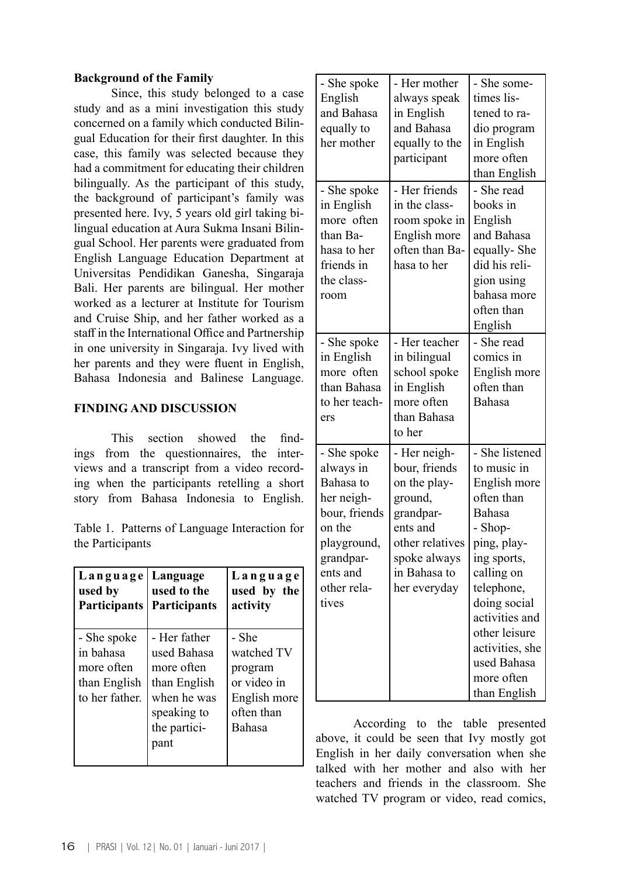## **Background of the Family**

Since, this study belonged to a case study and as a mini investigation this study concerned on a family which conducted Bilingual Education for their first daughter. In this case, this family was selected because they had a commitment for educating their children bilingually. As the participant of this study, the background of participant's family was presented here. Ivy, 5 years old girl taking bilingual education at Aura Sukma Insani Bilingual School. Her parents were graduated from English Language Education Department at Universitas Pendidikan Ganesha, Singaraja Bali. Her parents are bilingual. Her mother worked as a lecturer at Institute for Tourism and Cruise Ship, and her father worked as a staff in the International Office and Partnership in one university in Singaraja. Ivy lived with her parents and they were fluent in English, Bahasa Indonesia and Balinese Language.

## **FINDING AND DISCUSSION**

This section showed the findings from the questionnaires, the interviews and a transcript from a video recording when the participants retelling a short story from Bahasa Indonesia to English.

Table 1. Patterns of Language Interaction for the Participants

| Language   Language<br>used by<br><b>Participants</b>                    | used to the<br><b>Participants</b>                                                                              | Language<br>used by the<br>activity                                                   |
|--------------------------------------------------------------------------|-----------------------------------------------------------------------------------------------------------------|---------------------------------------------------------------------------------------|
| - She spoke<br>in bahasa<br>more often<br>than English<br>to her father. | - Her father<br>used Bahasa<br>more often<br>than English<br>when he was<br>speaking to<br>the partici-<br>pant | - She<br>watched TV<br>program<br>or video in<br>English more<br>often than<br>Bahasa |

| - She spoke<br>English<br>and Bahasa<br>equally to<br>her mother                                                                               | - Her mother<br>always speak<br>in English<br>and Bahasa<br>equally to the<br>participant                                                            | - She some-<br>times lis-<br>tened to ra-<br>dio program<br>in English<br>more often<br>than English                                                                                                                                                          |
|------------------------------------------------------------------------------------------------------------------------------------------------|------------------------------------------------------------------------------------------------------------------------------------------------------|---------------------------------------------------------------------------------------------------------------------------------------------------------------------------------------------------------------------------------------------------------------|
| - She spoke<br>in English<br>more often<br>than Ba-<br>hasa to her<br>friends in<br>the class-<br>room                                         | - Her friends<br>in the class-<br>room spoke in<br>English more<br>often than Ba-<br>hasa to her                                                     | - She read<br>books in<br>English<br>and Bahasa<br>equally-She<br>did his reli-<br>gion using<br>bahasa more<br>often than<br>English                                                                                                                         |
| - She spoke<br>in English<br>more often<br>than Bahasa<br>to her teach-<br>ers                                                                 | - Her teacher<br>in bilingual<br>school spoke<br>in English<br>more often<br>than Bahasa<br>to her                                                   | - She read<br>comics in<br>English more<br>often than<br>Bahasa                                                                                                                                                                                               |
| - She spoke<br>always in<br>Bahasa to<br>her neigh-<br>bour, friends<br>on the<br>playground,<br>grandpar-<br>ents and<br>other rela-<br>tives | - Her neigh-<br>bour, friends<br>on the play-<br>ground,<br>grandpar-<br>ents and<br>other relatives<br>spoke always<br>in Bahasa to<br>her everyday | - She listened<br>to music in<br>English more<br>often than<br>Bahasa<br>- Shop-<br>ping, play-<br>ing sports,<br>calling on<br>telephone,<br>doing social<br>activities and<br>other leisure<br>activities, she<br>used Bahasa<br>more often<br>than English |

According to the table presented above, it could be seen that Ivy mostly got English in her daily conversation when she talked with her mother and also with her teachers and friends in the classroom. She watched TV program or video, read comics,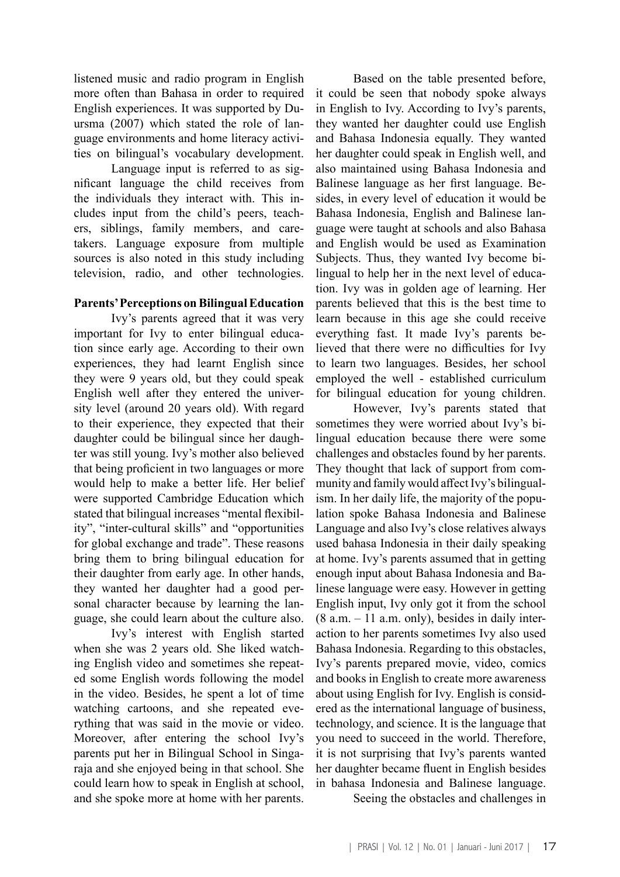listened music and radio program in English more often than Bahasa in order to required English experiences. It was supported by Duursma (2007) which stated the role of language environments and home literacy activities on bilingual's vocabulary development.

Language input is referred to as significant language the child receives from the individuals they interact with. This includes input from the child's peers, teachers, siblings, family members, and caretakers. Language exposure from multiple sources is also noted in this study including television, radio, and other technologies.

### **Parents' Perceptions on Bilingual Education**

Ivy's parents agreed that it was very important for Ivy to enter bilingual education since early age. According to their own experiences, they had learnt English since they were 9 years old, but they could speak English well after they entered the university level (around 20 years old). With regard to their experience, they expected that their daughter could be bilingual since her daughter was still young. Ivy's mother also believed that being proficient in two languages or more would help to make a better life. Her belief were supported Cambridge Education which stated that bilingual increases "mental flexibility", "inter-cultural skills" and "opportunities for global exchange and trade". These reasons bring them to bring bilingual education for their daughter from early age. In other hands, they wanted her daughter had a good personal character because by learning the language, she could learn about the culture also.

Ivy's interest with English started when she was 2 years old. She liked watching English video and sometimes she repeated some English words following the model in the video. Besides, he spent a lot of time watching cartoons, and she repeated everything that was said in the movie or video. Moreover, after entering the school Ivy's parents put her in Bilingual School in Singaraja and she enjoyed being in that school. She could learn how to speak in English at school, and she spoke more at home with her parents.

Based on the table presented before, it could be seen that nobody spoke always in English to Ivy. According to Ivy's parents, they wanted her daughter could use English and Bahasa Indonesia equally. They wanted her daughter could speak in English well, and also maintained using Bahasa Indonesia and Balinese language as her first language. Besides, in every level of education it would be Bahasa Indonesia, English and Balinese language were taught at schools and also Bahasa and English would be used as Examination Subjects. Thus, they wanted Ivy become bilingual to help her in the next level of education. Ivy was in golden age of learning. Her parents believed that this is the best time to learn because in this age she could receive everything fast. It made Ivy's parents believed that there were no difficulties for Ivy to learn two languages. Besides, her school employed the well - established curriculum for bilingual education for young children.

However, Ivy's parents stated that sometimes they were worried about Ivy's bilingual education because there were some challenges and obstacles found by her parents. They thought that lack of support from community and family would affect Ivy's bilingualism. In her daily life, the majority of the population spoke Bahasa Indonesia and Balinese Language and also Ivy's close relatives always used bahasa Indonesia in their daily speaking at home. Ivy's parents assumed that in getting enough input about Bahasa Indonesia and Balinese language were easy. However in getting English input, Ivy only got it from the school  $(8 a.m. - 11 a.m. only)$ , besides in daily interaction to her parents sometimes Ivy also used Bahasa Indonesia. Regarding to this obstacles, Ivy's parents prepared movie, video, comics and books in English to create more awareness about using English for Ivy. English is considered as the international language of business, technology, and science. It is the language that you need to succeed in the world. Therefore, it is not surprising that Ivy's parents wanted her daughter became fluent in English besides in bahasa Indonesia and Balinese language.

Seeing the obstacles and challenges in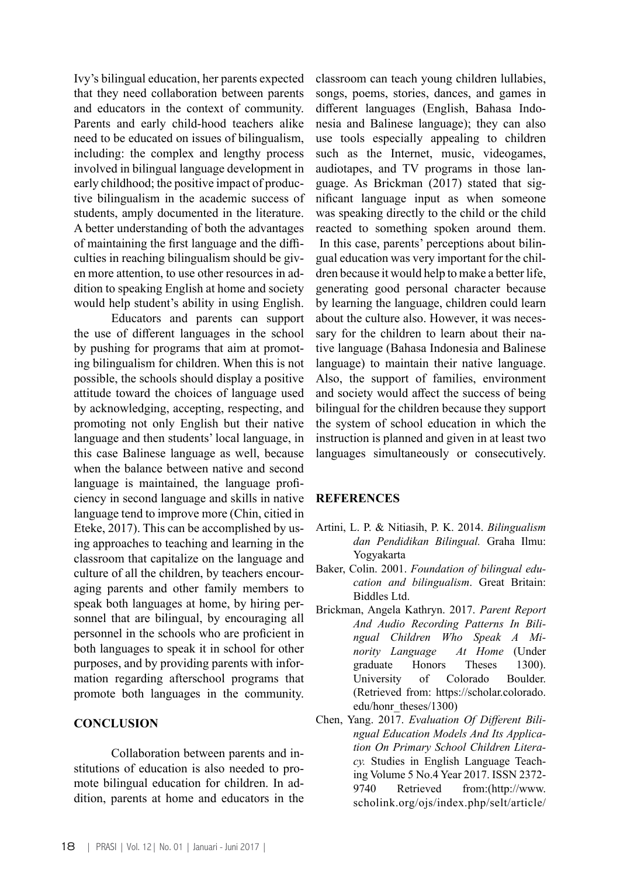Ivy's bilingual education, her parents expected that they need collaboration between parents and educators in the context of community. Parents and early child-hood teachers alike need to be educated on issues of bilingualism, including: the complex and lengthy process involved in bilingual language development in early childhood; the positive impact of productive bilingualism in the academic success of students, amply documented in the literature. A better understanding of both the advantages of maintaining the first language and the difficulties in reaching bilingualism should be given more attention, to use other resources in addition to speaking English at home and society would help student's ability in using English.

Educators and parents can support the use of different languages in the school by pushing for programs that aim at promoting bilingualism for children. When this is not possible, the schools should display a positive attitude toward the choices of language used by acknowledging, accepting, respecting, and promoting not only English but their native language and then students' local language, in this case Balinese language as well, because when the balance between native and second language is maintained, the language proficiency in second language and skills in native language tend to improve more (Chin, citied in Eteke, 2017). This can be accomplished by using approaches to teaching and learning in the classroom that capitalize on the language and culture of all the children, by teachers encouraging parents and other family members to speak both languages at home, by hiring personnel that are bilingual, by encouraging all personnel in the schools who are proficient in both languages to speak it in school for other purposes, and by providing parents with information regarding afterschool programs that promote both languages in the community.

### **CONCLUSION**

Collaboration between parents and institutions of education is also needed to promote bilingual education for children. In addition, parents at home and educators in the

classroom can teach young children lullabies, songs, poems, stories, dances, and games in different languages (English, Bahasa Indonesia and Balinese language); they can also use tools especially appealing to children such as the Internet, music, videogames, audiotapes, and TV programs in those language. As Brickman (2017) stated that significant language input as when someone was speaking directly to the child or the child reacted to something spoken around them. In this case, parents' perceptions about bilingual education was very important for the children because it would help to make a better life, generating good personal character because by learning the language, children could learn about the culture also. However, it was necessary for the children to learn about their native language (Bahasa Indonesia and Balinese language) to maintain their native language. Also, the support of families, environment and society would affect the success of being bilingual for the children because they support the system of school education in which the instruction is planned and given in at least two languages simultaneously or consecutively.

## **REFERENCES**

- Artini, L. P. & Nitiasih, P. K. 2014. *Bilingualism dan Pendidikan Bilingual.* Graha Ilmu: Yogyakarta
- Baker, Colin. 2001. *Foundation of bilingual education and bilingualism*. Great Britain: Biddles Ltd.
- Brickman, Angela Kathryn. 2017. *Parent Report And Audio Recording Patterns In Bilingual Children Who Speak A Minority Language At Home* (Under graduate Honors Theses 1300). University of Colorado Boulder. (Retrieved from: https://scholar.colorado. edu/honr\_theses/1300)
- Chen, Yang. 2017. *Evaluation Of Different Bilingual Education Models And Its Application On Primary School Children Literacy.* Studies in English Language Teaching Volume 5 No.4 Year 2017. ISSN 2372- 9740 Retrieved from:(http://www. scholink.org/ojs/index.php/selt/article/